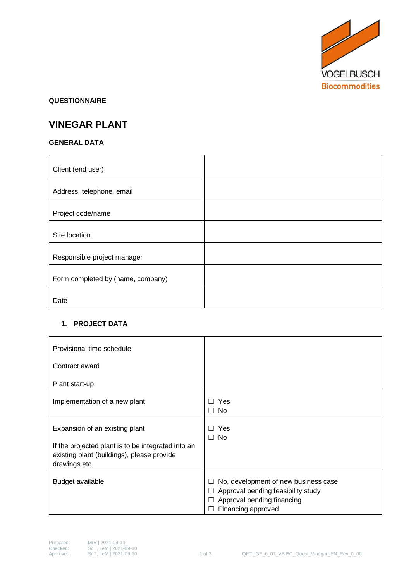

#### **QUESTIONNAIRE**

# **VINEGAR PLANT**

## **GENERAL DATA**

| Client (end user)                 |  |
|-----------------------------------|--|
| Address, telephone, email         |  |
| Project code/name                 |  |
| Site location                     |  |
|                                   |  |
| Responsible project manager       |  |
| Form completed by (name, company) |  |
| Date                              |  |

## **1. PROJECT DATA**

| Provisional time schedule                                                                                         |                                                                                                                                                               |
|-------------------------------------------------------------------------------------------------------------------|---------------------------------------------------------------------------------------------------------------------------------------------------------------|
| Contract award                                                                                                    |                                                                                                                                                               |
| Plant start-up                                                                                                    |                                                                                                                                                               |
| Implementation of a new plant                                                                                     | <b>Yes</b><br>$\perp$<br>$\Box$ No                                                                                                                            |
| Expansion of an existing plant                                                                                    | Yes<br>$\perp$<br>$\Box$ No                                                                                                                                   |
| If the projected plant is to be integrated into an<br>existing plant (buildings), please provide<br>drawings etc. |                                                                                                                                                               |
| Budget available                                                                                                  | No, development of new business case<br>ப<br>Approval pending feasibility study<br>Ш<br>Approval pending financing<br>$\mathsf{L}$<br>Financing approved<br>⊔ |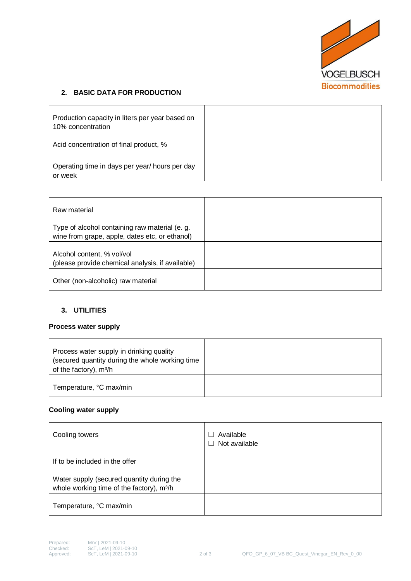

## **2. BASIC DATA FOR PRODUCTION**

| Production capacity in liters per year based on<br>10% concentration |  |
|----------------------------------------------------------------------|--|
| Acid concentration of final product, %                               |  |
| Operating time in days per year/ hours per day<br>or week            |  |

| Raw material                                                                                     |  |
|--------------------------------------------------------------------------------------------------|--|
| Type of alcohol containing raw material (e. g.<br>wine from grape, apple, dates etc, or ethanol) |  |
| Alcohol content, % vol/vol<br>(please provide chemical analysis, if available)                   |  |
| Other (non-alcoholic) raw material                                                               |  |

## **3. UTILITIES**

#### **Process water supply**

| Process water supply in drinking quality<br>(secured quantity during the whole working time<br>of the factory), m <sup>3</sup> /h |  |
|-----------------------------------------------------------------------------------------------------------------------------------|--|
| Temperature, °C max/min                                                                                                           |  |

#### **Cooling water supply**

| Cooling towers                                                                                     | Available<br>$\perp$<br>Not available<br>$\perp$ |
|----------------------------------------------------------------------------------------------------|--------------------------------------------------|
| If to be included in the offer                                                                     |                                                  |
| Water supply (secured quantity during the<br>whole working time of the factory), m <sup>3</sup> /h |                                                  |
| Temperature, °C max/min                                                                            |                                                  |